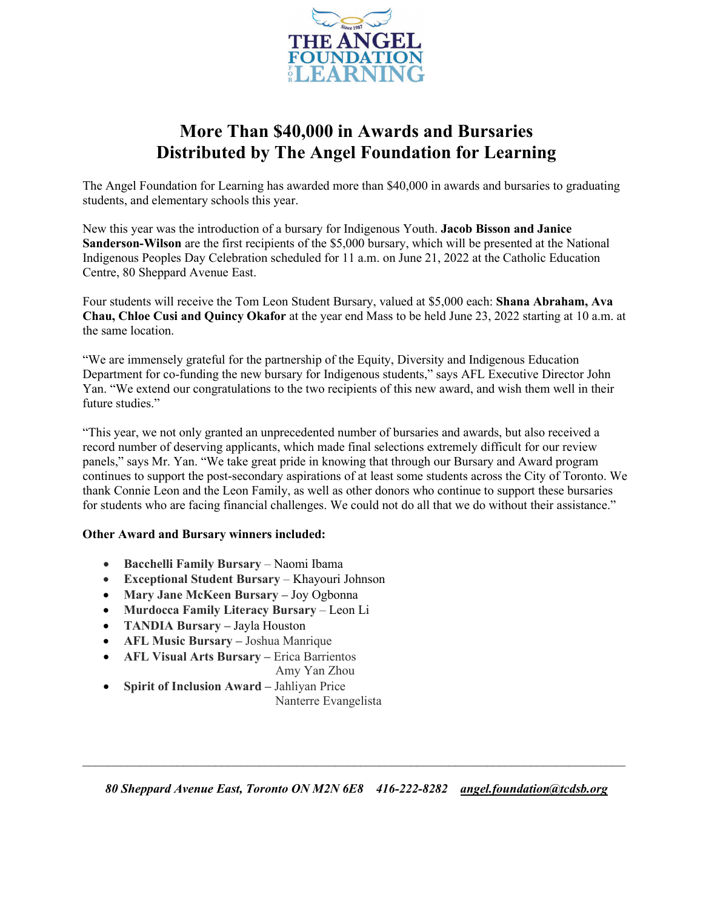

## **More Than \$40,000 in Awards and Bursaries Distributed by The Angel Foundation for Learning**

The Angel Foundation for Learning has awarded more than \$40,000 in awards and bursaries to graduating students, and elementary schools this year.

New this year was the introduction of a bursary for Indigenous Youth. **Jacob Bisson and Janice Sanderson-Wilson** are the first recipients of the \$5,000 bursary, which will be presented at the National Indigenous Peoples Day Celebration scheduled for 11 a.m. on June 21, 2022 at the Catholic Education Centre, 80 Sheppard Avenue East.

Four students will receive the Tom Leon Student Bursary, valued at \$5,000 each: **Shana Abraham, Ava Chau, Chloe Cusi and Quincy Okafor** at the year end Mass to be held June 23, 2022 starting at 10 a.m. at the same location.

"We are immensely grateful for the partnership of the Equity, Diversity and Indigenous Education Department for co-funding the new bursary for Indigenous students," says AFL Executive Director John Yan. "We extend our congratulations to the two recipients of this new award, and wish them well in their future studies."

"This year, we not only granted an unprecedented number of bursaries and awards, but also received a record number of deserving applicants, which made final selections extremely difficult for our review panels," says Mr. Yan. "We take great pride in knowing that through our Bursary and Award program continues to support the post-secondary aspirations of at least some students across the City of Toronto. We thank Connie Leon and the Leon Family, as well as other donors who continue to support these bursaries for students who are facing financial challenges. We could not do all that we do without their assistance."

## **Other Award and Bursary winners included:**

- **Bacchelli Family Bursary** Naomi Ibama
- **Exceptional Student Bursary** Khayouri Johnson
- **Mary Jane McKeen Bursary** Joy Ogbonna
- **Murdocca Family Literacy Bursary** Leon Li
- **TANDIA Bursary** Jayla Houston
- **AFL Music Bursary** Joshua Manrique
- **AFL Visual Arts Bursary** Erica Barrientos
	- Amy Yan Zhou
- **Spirit of Inclusion Award** Jahliyan Price

Nanterre Evangelista

*80 Sheppard Avenue East, Toronto ON M2N 6E8 416-222-8282 [angel.foundation@tcdsb.org](mailto:angel.foundation@tcdsb.org)* 

*\_\_\_\_\_\_\_\_\_\_\_\_\_\_\_\_\_\_\_\_\_\_\_\_\_\_\_\_\_\_\_\_\_\_\_\_\_\_\_\_\_\_\_\_\_\_\_\_\_\_\_\_\_\_\_\_\_\_\_\_\_\_\_\_\_\_\_\_\_\_\_\_\_\_\_\_\_\_\_\_\_\_\_\_\_\_*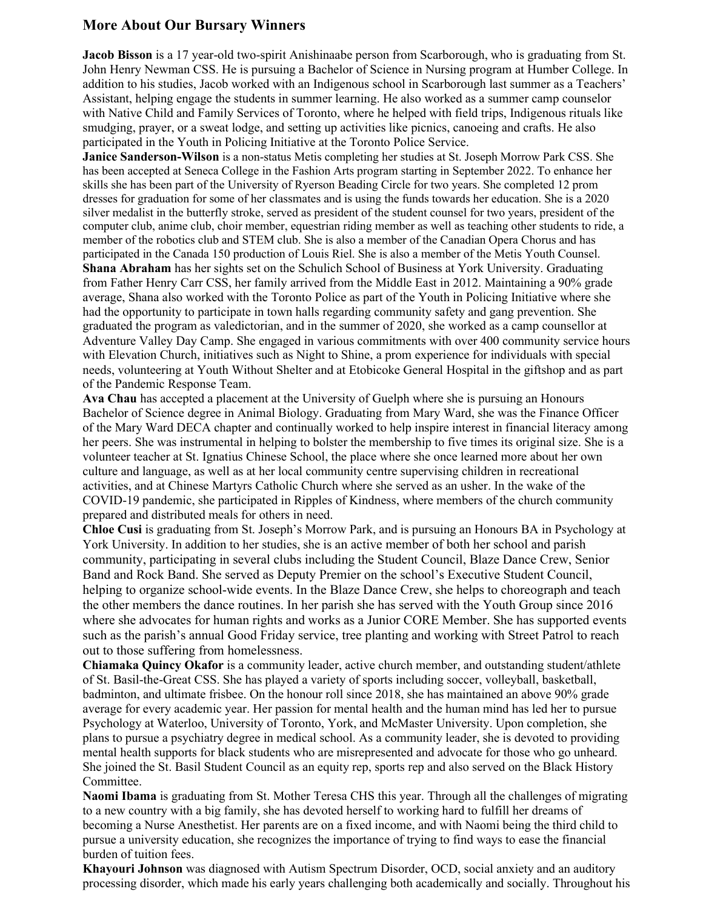## **More About Our Bursary Winners**

**Jacob Bisson** is a 17 year-old two-spirit Anishinaabe person from Scarborough, who is graduating from St. John Henry Newman CSS. He is pursuing a Bachelor of Science in Nursing program at Humber College. In addition to his studies, Jacob worked with an Indigenous school in Scarborough last summer as a Teachers' Assistant, helping engage the students in summer learning. He also worked as a summer camp counselor with Native Child and Family Services of Toronto, where he helped with field trips, Indigenous rituals like smudging, prayer, or a sweat lodge, and setting up activities like picnics, canoeing and crafts. He also participated in the Youth in Policing Initiative at the Toronto Police Service.

**Janice Sanderson-Wilson** is a non-status Metis completing her studies at St. Joseph Morrow Park CSS. She has been accepted at Seneca College in the Fashion Arts program starting in September 2022. To enhance her skills she has been part of the University of Ryerson Beading Circle for two years. She completed 12 prom dresses for graduation for some of her classmates and is using the funds towards her education. She is a 2020 silver medalist in the butterfly stroke, served as president of the student counsel for two years, president of the computer club, anime club, choir member, equestrian riding member as well as teaching other students to ride, a member of the robotics club and STEM club. She is also a member of the Canadian Opera Chorus and has participated in the Canada 150 production of Louis Riel. She is also a member of the Metis Youth Counsel. **Shana Abraham** has her sights set on the Schulich School of Business at York University. Graduating from Father Henry Carr CSS, her family arrived from the Middle East in 2012. Maintaining a 90% grade average, Shana also worked with the Toronto Police as part of the Youth in Policing Initiative where she had the opportunity to participate in town halls regarding community safety and gang prevention. She graduated the program as valedictorian, and in the summer of 2020, she worked as a camp counsellor at Adventure Valley Day Camp. She engaged in various commitments with over 400 community service hours with Elevation Church, initiatives such as Night to Shine, a prom experience for individuals with special needs, volunteering at Youth Without Shelter and at Etobicoke General Hospital in the giftshop and as part of the Pandemic Response Team.

**Ava Chau** has accepted a placement at the University of Guelph where she is pursuing an Honours Bachelor of Science degree in Animal Biology. Graduating from Mary Ward, she was the Finance Officer of the Mary Ward DECA chapter and continually worked to help inspire interest in financial literacy among her peers. She was instrumental in helping to bolster the membership to five times its original size. She is a volunteer teacher at St. Ignatius Chinese School, the place where she once learned more about her own culture and language, as well as at her local community centre supervising children in recreational activities, and at Chinese Martyrs Catholic Church where she served as an usher. In the wake of the COVID-19 pandemic, she participated in Ripples of Kindness, where members of the church community prepared and distributed meals for others in need.

**Chloe Cusi** is graduating from St. Joseph's Morrow Park, and is pursuing an Honours BA in Psychology at York University. In addition to her studies, she is an active member of both her school and parish community, participating in several clubs including the Student Council, Blaze Dance Crew, Senior Band and Rock Band. She served as Deputy Premier on the school's Executive Student Council, helping to organize school-wide events. In the Blaze Dance Crew, she helps to choreograph and teach the other members the dance routines. In her parish she has served with the Youth Group since 2016 where she advocates for human rights and works as a Junior CORE Member. She has supported events such as the parish's annual Good Friday service, tree planting and working with Street Patrol to reach out to those suffering from homelessness.

**Chiamaka Quincy Okafor** is a community leader, active church member, and outstanding student/athlete of St. Basil-the-Great CSS. She has played a variety of sports including soccer, volleyball, basketball, badminton, and ultimate frisbee. On the honour roll since 2018, she has maintained an above 90% grade average for every academic year. Her passion for mental health and the human mind has led her to pursue Psychology at Waterloo, University of Toronto, York, and McMaster University. Upon completion, she plans to pursue a psychiatry degree in medical school. As a community leader, she is devoted to providing mental health supports for black students who are misrepresented and advocate for those who go unheard. She joined the St. Basil Student Council as an equity rep, sports rep and also served on the Black History Committee.

**Naomi Ibama** is graduating from St. Mother Teresa CHS this year. Through all the challenges of migrating to a new country with a big family, she has devoted herself to working hard to fulfill her dreams of becoming a Nurse Anesthetist. Her parents are on a fixed income, and with Naomi being the third child to pursue a university education, she recognizes the importance of trying to find ways to ease the financial burden of tuition fees.

**Khayouri Johnson** was diagnosed with Autism Spectrum Disorder, OCD, social anxiety and an auditory processing disorder, which made his early years challenging both academically and socially. Throughout his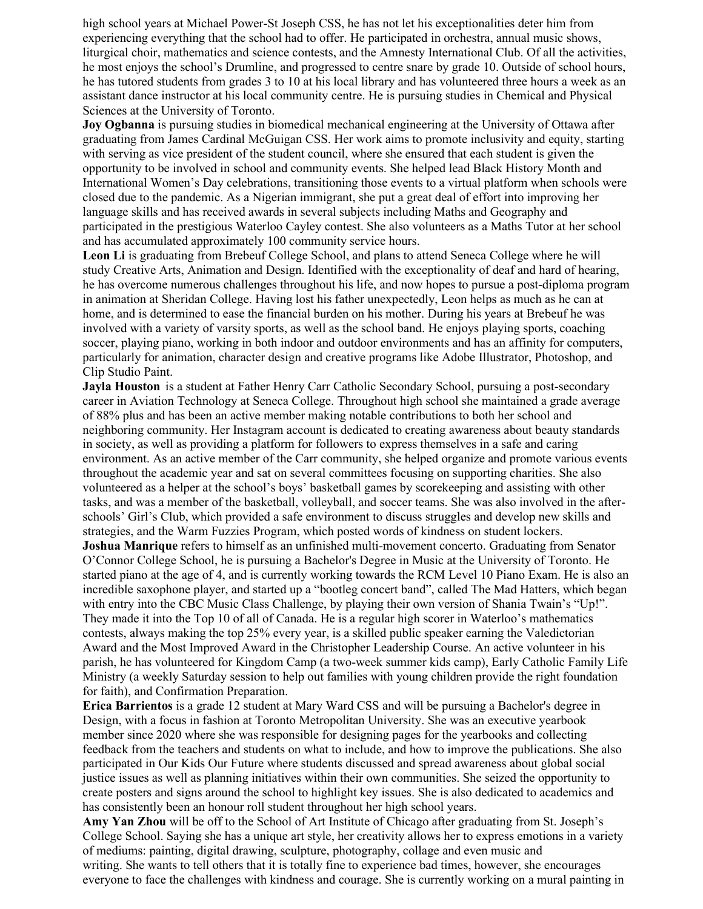high school years at Michael Power-St Joseph CSS, he has not let his exceptionalities deter him from experiencing everything that the school had to offer. He participated in orchestra, annual music shows, liturgical choir, mathematics and science contests, and the Amnesty International Club. Of all the activities, he most enjoys the school's Drumline, and progressed to centre snare by grade 10. Outside of school hours, he has tutored students from grades 3 to 10 at his local library and has volunteered three hours a week as an assistant dance instructor at his local community centre. He is pursuing studies in Chemical and Physical Sciences at the University of Toronto.

**Joy Ogbanna** is pursuing studies in biomedical mechanical engineering at the University of Ottawa after graduating from James Cardinal McGuigan CSS. Her work aims to promote inclusivity and equity, starting with serving as vice president of the student council, where she ensured that each student is given the opportunity to be involved in school and community events. She helped lead Black History Month and International Women's Day celebrations, transitioning those events to a virtual platform when schools were closed due to the pandemic. As a Nigerian immigrant, she put a great deal of effort into improving her language skills and has received awards in several subjects including Maths and Geography and participated in the prestigious Waterloo Cayley contest. She also volunteers as a Maths Tutor at her school and has accumulated approximately 100 community service hours.

**Leon Li** is graduating from Brebeuf College School, and plans to attend Seneca College where he will study Creative Arts, Animation and Design. Identified with the exceptionality of deaf and hard of hearing, he has overcome numerous challenges throughout his life, and now hopes to pursue a post-diploma program in animation at Sheridan College. Having lost his father unexpectedly, Leon helps as much as he can at home, and is determined to ease the financial burden on his mother. During his years at Brebeuf he was involved with a variety of varsity sports, as well as the school band. He enjoys playing sports, coaching soccer, playing piano, working in both indoor and outdoor environments and has an affinity for computers, particularly for animation, character design and creative programs like Adobe Illustrator, Photoshop, and Clip Studio Paint.

**Jayla Houston** is a student at Father Henry Carr Catholic Secondary School, pursuing a post-secondary career in Aviation Technology at Seneca College. Throughout high school she maintained a grade average of 88% plus and has been an active member making notable contributions to both her school and neighboring community. Her Instagram account is dedicated to creating awareness about beauty standards in society, as well as providing a platform for followers to express themselves in a safe and caring environment. As an active member of the Carr community, she helped organize and promote various events throughout the academic year and sat on several committees focusing on supporting charities. She also volunteered as a helper at the school's boys' basketball games by scorekeeping and assisting with other tasks, and was a member of the basketball, volleyball, and soccer teams. She was also involved in the afterschools' Girl's Club, which provided a safe environment to discuss struggles and develop new skills and strategies, and the Warm Fuzzies Program, which posted words of kindness on student lockers.

**Joshua Manrique** refers to himself as an unfinished multi-movement concerto. Graduating from Senator O'Connor College School, he is pursuing a Bachelor's Degree in Music at the University of Toronto. He started piano at the age of 4, and is currently working towards the RCM Level 10 Piano Exam. He is also an incredible saxophone player, and started up a "bootleg concert band", called The Mad Hatters, which began with entry into the CBC Music Class Challenge, by playing their own version of Shania Twain's "Up!". They made it into the Top 10 of all of Canada. He is a regular high scorer in Waterloo's mathematics contests, always making the top 25% every year, is a skilled public speaker earning the Valedictorian Award and the Most Improved Award in the Christopher Leadership Course. An active volunteer in his parish, he has volunteered for Kingdom Camp (a two-week summer kids camp), Early Catholic Family Life Ministry (a weekly Saturday session to help out families with young children provide the right foundation for faith), and Confirmation Preparation.

**Erica Barrientos** is a grade 12 student at Mary Ward CSS and will be pursuing a Bachelor's degree in Design, with a focus in fashion at Toronto Metropolitan University. She was an executive yearbook member since 2020 where she was responsible for designing pages for the yearbooks and collecting feedback from the teachers and students on what to include, and how to improve the publications. She also participated in Our Kids Our Future where students discussed and spread awareness about global social justice issues as well as planning initiatives within their own communities. She seized the opportunity to create posters and signs around the school to highlight key issues. She is also dedicated to academics and has consistently been an honour roll student throughout her high school years.

**Amy Yan Zhou** will be off to the School of Art Institute of Chicago after graduating from St. Joseph's College School. Saying she has a unique art style, her creativity allows her to express emotions in a variety of mediums: painting, digital drawing, sculpture, photography, collage and even music and writing. She wants to tell others that it is totally fine to experience bad times, however, she encourages everyone to face the challenges with kindness and courage. She is currently working on a mural painting in